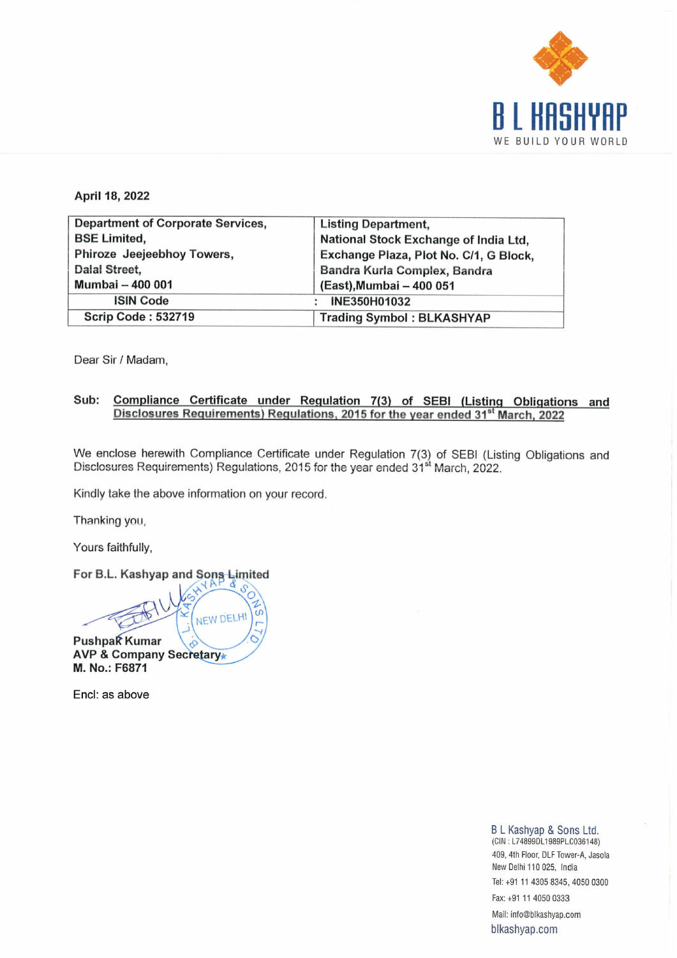

|                                                   | H<br>$\blacksquare$                                                             |
|---------------------------------------------------|---------------------------------------------------------------------------------|
|                                                   | WE BUILD YO                                                                     |
|                                                   |                                                                                 |
| April 18, 2022                                    |                                                                                 |
| <b>Department of Corporate Services,</b>          | <b>Listing Department,</b>                                                      |
| <b>BSE Limited,</b><br>Phiroze Jeejeebhoy Towers, | National Stock Exchange of India Ltd,<br>Exchange Plaza, Plot No. C/1, G Block, |
| Dalal Street,                                     | Bandra Kurla Complex, Bandra                                                    |
| Mumbai - 400 001                                  | (East), Mumbai - 400 051                                                        |
| <b>ISIN Code</b>                                  | INE350H01032<br>÷                                                               |
| <b>Scrip Code: 532719</b>                         | <b>Trading Symbol: BLKASHYAP</b>                                                |

Dear Sir / Madam,

## Sub: Compliance Certificate under Regulation 7(3) of SEBI (Listing Obligations and Disclosures Requirements) Regulations, 2015 for the year ended 31<sup>st</sup> March, 2022

We enclose herewith Compliance Certificate under Regulation 7(3) of SEBI (Listing Obligations and Disclosures Requirements) Regulations, 2015 for the year ended 31° March, 2022.

Kindly take the above information on your record,

Thanking you,

Yours faithfully,

For B.L. Kashyap and Sons Limited

 $\sim$ Pushpak Kumar<br>AVP & Company Secretar you,<br>ifully,<br><sup>C</sup>ashyap PushpaK Kumar M. No.: F6871

Encl: as above

## B L Kashyap & Sons Ltd.<br>(CIN: L74899DL1989PLC036148) 409, 4th Floor, DLF Tower-A, Jasola New Delhi 110 025, India Tel: +91 11 4305 8345, 4050 0300

Fax: +91 11 4050 0333 Mail: info@blkashyap.com blkashyap.com